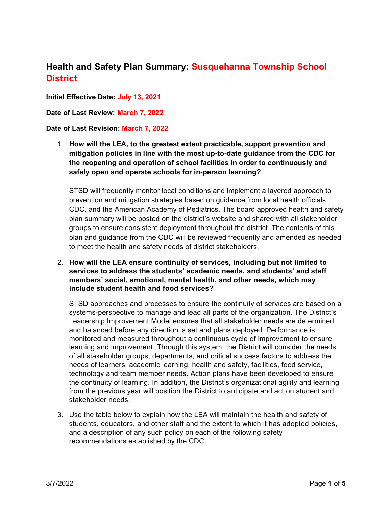## **Health and Safety Plan Summary: Susquehanna Township School District**

**Initial Effective Date: July 13, 2021**

**Date of Last Review: March 7, 2022**

## **Date of Last Revision: March 7, 2022**

1. **How will the LEA, to the greatest extent practicable, support prevention and mitigation policies in line with the most up-to-date guidance from the CDC for the reopening and operation of school facilities in order to continuously and safely open and operate schools for in-person learning?** 

STSD will frequently monitor local conditions and implement a layered approach to prevention and mitigation strategies based on guidance from local health officials, CDC, and the American Academy of Pediatrics. The board approved health and safety plan summary will be posted on the district's website and shared with all stakeholder groups to ensure consistent deployment throughout the district. The contents of this plan and guidance from the CDC will be reviewed frequently and amended as needed to meet the health and safety needs of district stakeholders.

2. **How will the LEA ensure continuity of services, including but not limited to services to address the students' academic needs, and students' and staff members' social, emotional, mental health, and other needs, which may include student health and food services?**

STSD approaches and processes to ensure the continuity of services are based on a systems-perspective to manage and lead all parts of the organization. The District's Leadership Improvement Model ensures that all stakeholder needs are determined and balanced before any direction is set and plans deployed. Performance is monitored and measured throughout a continuous cycle of improvement to ensure learning and improvement. Through this system, the District will consider the needs of all stakeholder groups, departments, and critical success factors to address the needs of learners, academic learning, health and safety, facilities, food service, technology and team member needs. Action plans have been developed to ensure the continuity of learning. In addition, the District's organizational agility and learning from the previous year will position the District to anticipate and act on student and stakeholder needs.

3. Use the table below to explain how the LEA will maintain the health and safety of students, educators, and other staff and the extent to which it has adopted policies, and a description of any such policy on each of the following safety recommendations established by the CDC.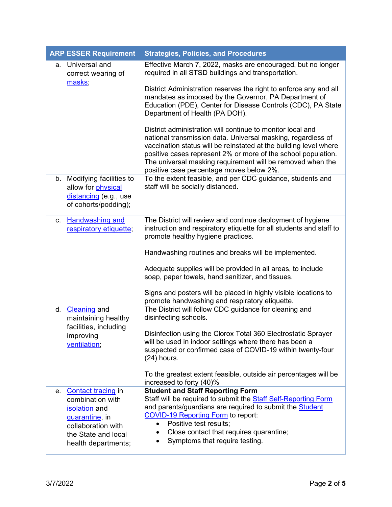| <b>ARP ESSER Requirement</b>                                                                                                                     | <b>Strategies, Policies, and Procedures</b>                                                                                                                                                                                                                                                                                                                                |
|--------------------------------------------------------------------------------------------------------------------------------------------------|----------------------------------------------------------------------------------------------------------------------------------------------------------------------------------------------------------------------------------------------------------------------------------------------------------------------------------------------------------------------------|
| a. Universal and<br>correct wearing of<br>masks;                                                                                                 | Effective March 7, 2022, masks are encouraged, but no longer<br>required in all STSD buildings and transportation.                                                                                                                                                                                                                                                         |
|                                                                                                                                                  | District Administration reserves the right to enforce any and all<br>mandates as imposed by the Governor, PA Department of<br>Education (PDE), Center for Disease Controls (CDC), PA State<br>Department of Health (PA DOH).                                                                                                                                               |
|                                                                                                                                                  | District administration will continue to monitor local and<br>national transmission data. Universal masking, regardless of<br>vaccination status will be reinstated at the building level where<br>positive cases represent 2% or more of the school population.<br>The universal masking requirement will be removed when the<br>positive case percentage moves below 2%. |
| b. Modifying facilities to<br>allow for physical<br>distancing (e.g., use<br>of cohorts/podding);                                                | To the extent feasible, and per CDC guidance, students and<br>staff will be socially distanced.                                                                                                                                                                                                                                                                            |
| <b>Handwashing and</b><br>C.<br>respiratory etiquette;                                                                                           | The District will review and continue deployment of hygiene<br>instruction and respiratory etiquette for all students and staff to<br>promote healthy hygiene practices.<br>Handwashing routines and breaks will be implemented.                                                                                                                                           |
|                                                                                                                                                  | Adequate supplies will be provided in all areas, to include<br>soap, paper towels, hand sanitizer, and tissues.                                                                                                                                                                                                                                                            |
|                                                                                                                                                  | Signs and posters will be placed in highly visible locations to<br>promote handwashing and respiratory etiquette.                                                                                                                                                                                                                                                          |
| d. Cleaning and<br>maintaining healthy<br>facilities, including<br>improving<br>ventilation;                                                     | The District will follow CDC guidance for cleaning and<br>disinfecting schools.                                                                                                                                                                                                                                                                                            |
|                                                                                                                                                  | Disinfection using the Clorox Total 360 Electrostatic Sprayer<br>will be used in indoor settings where there has been a<br>suspected or confirmed case of COVID-19 within twenty-four<br>$(24)$ hours.                                                                                                                                                                     |
|                                                                                                                                                  | To the greatest extent feasible, outside air percentages will be<br>increased to forty (40)%                                                                                                                                                                                                                                                                               |
| e. Contact tracing in<br>combination with<br>isolation and<br>quarantine, in<br>collaboration with<br>the State and local<br>health departments; | <b>Student and Staff Reporting Form</b><br>Staff will be required to submit the <b>Staff Self-Reporting Form</b><br>and parents/guardians are required to submit the Student<br><b>COVID-19 Reporting Form to report:</b><br>Positive test results;<br>$\bullet$<br>Close contact that requires quarantine;<br>Symptoms that require testing.                              |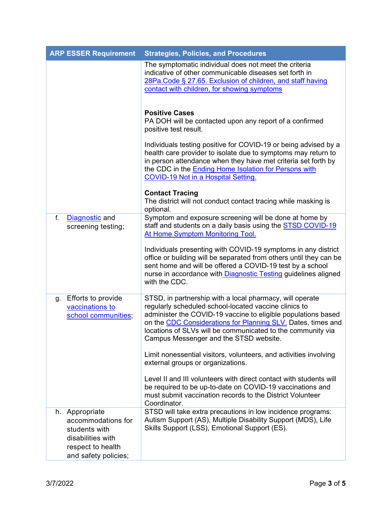| <b>ARP ESSER Requirement</b>                                                                                            | <b>Strategies, Policies, and Procedures</b>                                                                                                                                                                                                                                                                                                                 |  |
|-------------------------------------------------------------------------------------------------------------------------|-------------------------------------------------------------------------------------------------------------------------------------------------------------------------------------------------------------------------------------------------------------------------------------------------------------------------------------------------------------|--|
|                                                                                                                         | The symptomatic individual does not meet the criteria<br>indicative of other communicable diseases set forth in<br>28Pa. Code § 27.65. Exclusion of children, and staff having<br>contact with children, for showing symptoms                                                                                                                               |  |
|                                                                                                                         | <b>Positive Cases</b><br>PA DOH will be contacted upon any report of a confirmed<br>positive test result.                                                                                                                                                                                                                                                   |  |
|                                                                                                                         | Individuals testing positive for COVID-19 or being advised by a<br>health care provider to isolate due to symptoms may return to<br>in person attendance when they have met criteria set forth by<br>the CDC in the Ending Home Isolation for Persons with<br><b>COVID-19 Not in a Hospital Setting.</b>                                                    |  |
|                                                                                                                         | <b>Contact Tracing</b><br>The district will not conduct contact tracing while masking is<br>optional.                                                                                                                                                                                                                                                       |  |
| Diagnostic and<br>f.<br>screening testing;                                                                              | Symptom and exposure screening will be done at home by<br>staff and students on a daily basis using the <b>STSD COVID-19</b><br>At Home Symptom Monitoring Tool.                                                                                                                                                                                            |  |
|                                                                                                                         | Individuals presenting with COVID-19 symptoms in any district<br>office or building will be separated from others until they can be<br>sent home and will be offered a COVID-19 test by a school<br>nurse in accordance with Diagnostic Testing guidelines aligned<br>with the CDC.                                                                         |  |
| Efforts to provide<br>g.<br>vaccinations to<br>school communities;                                                      | STSD, in partnership with a local pharmacy, will operate<br>regularly scheduled school-located vaccine clinics to<br>administer the COVID-19 vaccine to eligible populations based<br>on the CDC Considerations for Planning SLV. Dates, times and<br>locations of SLVs will be communicated to the community via<br>Campus Messenger and the STSD website. |  |
|                                                                                                                         | Limit nonessential visitors, volunteers, and activities involving<br>external groups or organizations.                                                                                                                                                                                                                                                      |  |
|                                                                                                                         | Level II and III volunteers with direct contact with students will<br>be required to be up-to-date on COVID-19 vaccinations and<br>must submit vaccination records to the District Volunteer<br>Coordinator.                                                                                                                                                |  |
| h. Appropriate<br>accommodations for<br>students with<br>disabilities with<br>respect to health<br>and safety policies; | STSD will take extra precautions in low incidence programs:<br>Autism Support (AS), Multiple Disability Support (MDS), Life<br>Skills Support (LSS), Emotional Support (ES).                                                                                                                                                                                |  |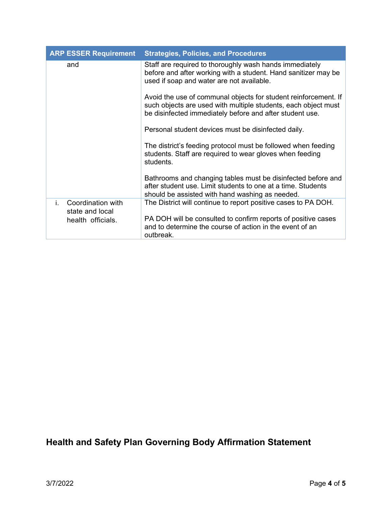| <b>ARP ESSER Requirement</b>               |           | <b>Strategies, Policies, and Procedures</b>                                                                                                                                                   |
|--------------------------------------------|-----------|-----------------------------------------------------------------------------------------------------------------------------------------------------------------------------------------------|
| and                                        |           | Staff are required to thoroughly wash hands immediately<br>before and after working with a student. Hand sanitizer may be<br>used if soap and water are not available.                        |
|                                            |           | Avoid the use of communal objects for student reinforcement. If<br>such objects are used with multiple students, each object must<br>be disinfected immediately before and after student use. |
|                                            |           | Personal student devices must be disinfected daily.                                                                                                                                           |
|                                            | students. | The district's feeding protocol must be followed when feeding<br>students. Staff are required to wear gloves when feeding                                                                     |
|                                            |           | Bathrooms and changing tables must be disinfected before and<br>after student use. Limit students to one at a time. Students<br>should be assisted with hand washing as needed.               |
| Coordination with<br>i.<br>state and local |           | The District will continue to report positive cases to PA DOH.                                                                                                                                |
| health officials.                          | outbreak. | PA DOH will be consulted to confirm reports of positive cases<br>and to determine the course of action in the event of an                                                                     |

## **Health and Safety Plan Governing Body Affirmation Statement**